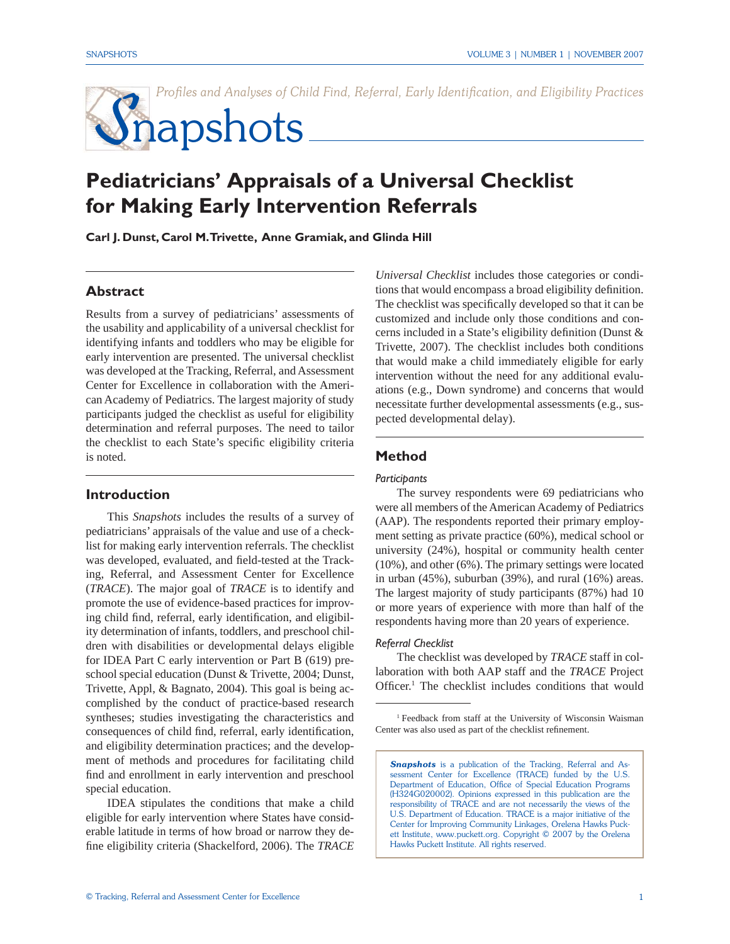*Profiles and Analyses of Child Find, Referral, Early Identification, and Eligibility Practices* 

# Snapshots

# **Pediatricians' Appraisals of a Universal Checklist for Making Early Intervention Referrals**

**Carl J. Dunst, Carol M. Trivette, Anne Gramiak, and Glinda Hill**

#### **Abstract**

Results from a survey of pediatricians' assessments of the usability and applicability of a universal checklist for identifying infants and toddlers who may be eligible for early intervention are presented. The universal checklist was developed at the Tracking, Referral, and Assessment Center for Excellence in collaboration with the American Academy of Pediatrics. The largest majority of study participants judged the checklist as useful for eligibility determination and referral purposes. The need to tailor the checklist to each State's specific eligibility criteria is noted.

#### **Introduction**

 This *Snapshots* includes the results of a survey of pediatricians' appraisals of the value and use of a checklist for making early intervention referrals. The checklist was developed, evaluated, and field-tested at the Tracking, Referral, and Assessment Center for Excellence (*TRACE*). The major goal of *TRACE* is to identify and promote the use of evidence-based practices for improving child find, referral, early identification, and eligibility determination of infants, toddlers, and preschool children with disabilities or developmental delays eligible for IDEA Part C early intervention or Part B (619) preschool special education (Dunst & Trivette, 2004; Dunst, Trivette, Appl, & Bagnato, 2004). This goal is being accomplished by the conduct of practice-based research syntheses; studies investigating the characteristics and consequences of child find, referral, early identification, and eligibility determination practices; and the development of methods and procedures for facilitating child find and enrollment in early intervention and preschool special education.

 IDEA stipulates the conditions that make a child eligible for early intervention where States have considerable latitude in terms of how broad or narrow they define eligibility criteria (Shackelford, 2006). The *TRACE* 

*Universal Checklist* includes those categories or conditions that would encompass a broad eligibility definition. The checklist was specifically developed so that it can be. customized and include only those conditions and concerns included in a State's eligibility definition (Dunst  $\&$ Trivette, 2007). The checklist includes both conditions that would make a child immediately eligible for early intervention without the need for any additional evaluations (e.g., Down syndrome) and concerns that would necessitate further developmental assessments (e.g., suspected developmental delay).

#### **Method**

#### *Participants*

 The survey respondents were 69 pediatricians who were all members of the American Academy of Pediatrics (AAP). The respondents reported their primary employment setting as private practice (60%), medical school or university (24%), hospital or community health center (10%), and other (6%). The primary settings were located in urban (45%), suburban (39%), and rural (16%) areas. The largest majority of study participants (87%) had 10 or more years of experience with more than half of the respondents having more than 20 years of experience.

#### *Referral Checklist*

 The checklist was developed by *TRACE* staff in collaboration with both AAP staff and the *TRACE* Project Officer.<sup>1</sup> The checklist includes conditions that would

**Snapshots** is a publication of the Tracking, Referral and Assessment Center for Excellence (TRACE) funded by the U.S. Department of Education, Office of Special Education Programs (H324G020002). Opinions expressed in this publication are the responsibility of TRACE and are not necessarily the views of the U.S. Department of Education. TRACE is a major initiative of the Center for Improving Community Linkages, Orelena Hawks Puckett Institute, www.puckett.org. Copyright © 2007 by the Orelena Hawks Puckett Institute. All rights reserved.

<sup>1</sup> Feedback from staff at the University of Wisconsin Waisman Center was also used as part of the checklist refinement.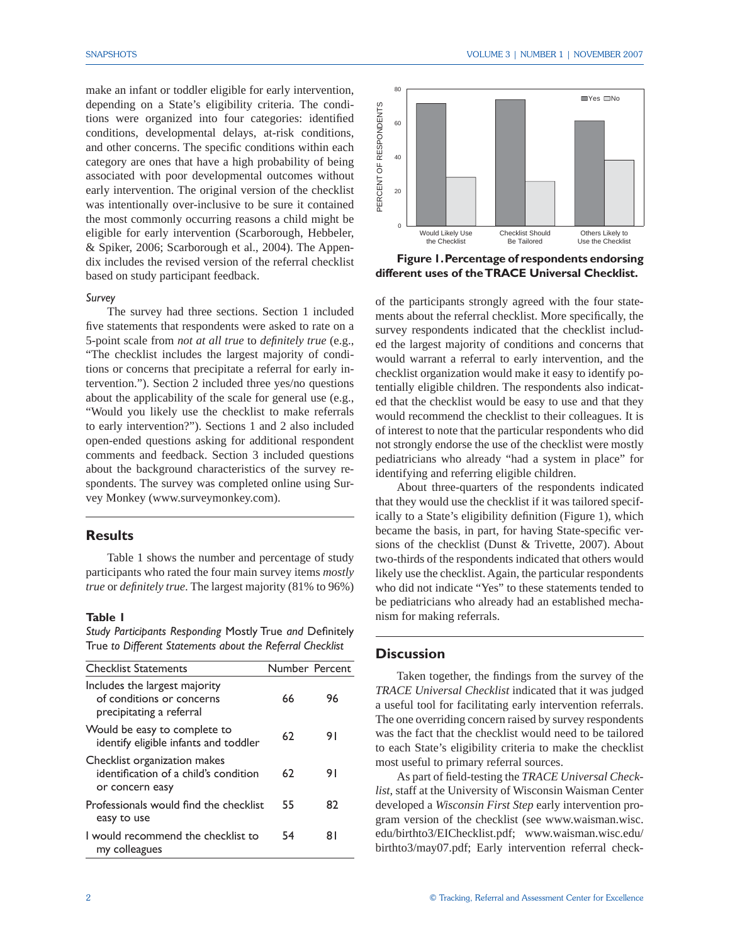make an infant or toddler eligible for early intervention, depending on a State's eligibility criteria. The conditions were organized into four categories: identified conditions, developmental delays, at-risk conditions, and other concerns. The specific conditions within each category are ones that have a high probability of being associated with poor developmental outcomes without early intervention. The original version of the checklist was intentionally over-inclusive to be sure it contained the most commonly occurring reasons a child might be eligible for early intervention (Scarborough, Hebbeler, & Spiker, 2006; Scarborough et al., 2004). The Appendix includes the revised version of the referral checklist based on study participant feedback.

#### *Survey*

 The survey had three sections. Section 1 included five statements that respondents were asked to rate on a 5-point scale from *not at all true* to *definitely true* (e.g., "The checklist includes the largest majority of conditions or concerns that precipitate a referral for early intervention."). Section 2 included three yes/no questions about the applicability of the scale for general use (e.g., "Would you likely use the checklist to make referrals to early intervention?"). Sections 1 and 2 also included open-ended questions asking for additional respondent comments and feedback. Section 3 included questions about the background characteristics of the survey respondents. The survey was completed online using Survey Monkey (www.surveymonkey.com).

#### **Results**

 Table 1 shows the number and percentage of study participants who rated the four main survey items *mostly true* or *definitely true*. The largest majority (81% to 96%)

#### **Table 1**

*Study Participants Responding Mostly True and Definitely* True *to Different Statements about the Referral Checklist*

| <b>Checklist Statements</b>                                                              | Number Percent |    |
|------------------------------------------------------------------------------------------|----------------|----|
| Includes the largest majority<br>of conditions or concerns<br>precipitating a referral   | 66             | 96 |
| Would be easy to complete to<br>identify eligible infants and toddler                    | 62             | 91 |
| Checklist organization makes<br>identification of a child's condition<br>or concern easy | 62             | 91 |
| Professionals would find the checklist<br>easy to use                                    | 55             | 82 |
| I would recommend the checklist to<br>my colleagues                                      | 54             | 81 |



**Figure 1. Percentage of respondents endorsing different uses of the TRACE Universal Checklist.**

of the participants strongly agreed with the four statements about the referral checklist. More specifically, the survey respondents indicated that the checklist included the largest majority of conditions and concerns that would warrant a referral to early intervention, and the checklist organization would make it easy to identify potentially eligible children. The respondents also indicated that the checklist would be easy to use and that they would recommend the checklist to their colleagues. It is of interest to note that the particular respondents who did not strongly endorse the use of the checklist were mostly pediatricians who already "had a system in place" for identifying and referring eligible children.

 About three-quarters of the respondents indicated that they would use the checklist if it was tailored specifically to a State's eligibility definition (Figure 1), which became the basis, in part, for having State-specific versions of the checklist (Dunst & Trivette, 2007). About two-thirds of the respondents indicated that others would likely use the checklist. Again, the particular respondents who did not indicate "Yes" to these statements tended to be pediatricians who already had an established mechanism for making referrals.

#### **Discussion**

Taken together, the findings from the survey of the *TRACE Universal Checklist* indicated that it was judged a useful tool for facilitating early intervention referrals. The one overriding concern raised by survey respondents was the fact that the checklist would need to be tailored to each State's eligibility criteria to make the checklist most useful to primary referral sources.

As part of field-testing the *TRACE Universal Checklist*, staff at the University of Wisconsin Waisman Center developed a *Wisconsin First Step* early intervention program version of the checklist (see www.waisman.wisc. edu/birthto3/EIChecklist.pdf; www.waisman.wisc.edu/ birthto3/may07.pdf; Early intervention referral check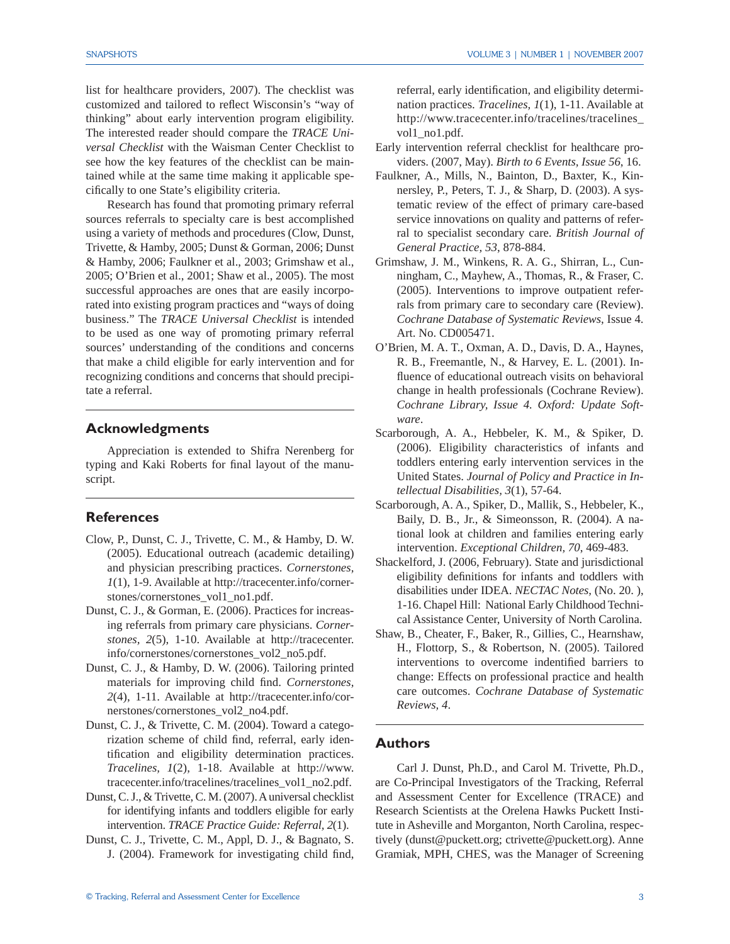list for healthcare providers, 2007). The checklist was customized and tailored to reflect Wisconsin's "way of thinking" about early intervention program eligibility. The interested reader should compare the *TRACE Universal Checklist* with the Waisman Center Checklist to see how the key features of the checklist can be maintained while at the same time making it applicable specifically to one State's eligibility criteria.

 Research has found that promoting primary referral sources referrals to specialty care is best accomplished using a variety of methods and procedures (Clow, Dunst, Trivette, & Hamby, 2005; Dunst & Gorman, 2006; Dunst & Hamby, 2006; Faulkner et al., 2003; Grimshaw et al., 2005; O'Brien et al., 2001; Shaw et al., 2005). The most successful approaches are ones that are easily incorporated into existing program practices and "ways of doing business." The *TRACE Universal Checklist* is intended to be used as one way of promoting primary referral sources' understanding of the conditions and concerns that make a child eligible for early intervention and for recognizing conditions and concerns that should precipitate a referral.

#### **Acknowledgments**

 Appreciation is extended to Shifra Nerenberg for typing and Kaki Roberts for final layout of the manuscript.

#### **References**

- Clow, P., Dunst, C. J., Trivette, C. M., & Hamby, D. W. (2005). Educational outreach (academic detailing) and physician prescribing practices. *Cornerstones, 1*(1), 1-9. Available at http://tracecenter.info/cornerstones/cornerstones\_vol1\_no1.pdf.
- Dunst, C. J., & Gorman, E. (2006). Practices for increasing referrals from primary care physicians. *Cornerstones, 2*(5), 1-10. Available at http://tracecenter. info/cornerstones/cornerstones\_vol2\_no5.pdf.
- Dunst, C. J., & Hamby, D. W. (2006). Tailoring printed materials for improving child find. Cornerstones, *2*(4), 1-11. Available at http://tracecenter.info/cornerstones/cornerstones\_vol2\_no4.pdf.
- Dunst, C. J., & Trivette, C. M. (2004). Toward a categorization scheme of child find, referral, early identification and eligibility determination practices. *Tracelines, 1*(2), 1-18. Available at http://www. tracecenter.info/tracelines/tracelines\_vol1\_no2.pdf.
- Dunst, C. J., & Trivette, C. M. (2007). A universal checklist for identifying infants and toddlers eligible for early intervention. *TRACE Practice Guide: Referral, 2*(1).
- Dunst, C. J., Trivette, C. M., Appl, D. J., & Bagnato, S. J. (2004). Framework for investigating child find,

© Tracking, Referral and Assessment Center for Excellence 3

referral, early identification, and eligibility determination practices. *Tracelines, 1*(1), 1-11. Available at http://www.tracecenter.info/tracelines/tracelines\_ vol1\_no1.pdf.

- Early intervention referral checklist for healthcare providers. (2007, May). *Birth to 6 Events, Issue 56*, 16.
- Faulkner, A., Mills, N., Bainton, D., Baxter, K., Kinnersley, P., Peters, T. J., & Sharp, D. (2003). A systematic review of the effect of primary care-based service innovations on quality and patterns of referral to specialist secondary care. *British Journal of General Practice, 53*, 878-884.
- Grimshaw, J. M., Winkens, R. A. G., Shirran, L., Cunningham, C., Mayhew, A., Thomas, R., & Fraser, C. (2005). Interventions to improve outpatient referrals from primary care to secondary care (Review). *Cochrane Database of Systematic Reviews*, Issue 4. Art. No. CD005471.
- O'Brien, M. A. T., Oxman, A. D., Davis, D. A., Haynes, R. B., Freemantle, N., & Harvey, E. L. (2001). Influence of educational outreach visits on behavioral change in health professionals (Cochrane Review). *Cochrane Library, Issue 4. Oxford: Update Software*.
- Scarborough, A. A., Hebbeler, K. M., & Spiker, D. (2006). Eligibility characteristics of infants and toddlers entering early intervention services in the United States. *Journal of Policy and Practice in Intellectual Disabilities, 3*(1), 57-64.
- Scarborough, A. A., Spiker, D., Mallik, S., Hebbeler, K., Baily, D. B., Jr., & Simeonsson, R. (2004). A national look at children and families entering early intervention. *Exceptional Children, 70*, 469-483.
- Shackelford, J. (2006, February). State and jurisdictional eligibility definitions for infants and toddlers with disabilities under IDEA. *NECTAC Notes,* (No. 20. ), 1-16. Chapel Hill: National Early Childhood Technical Assistance Center, University of North Carolina.
- Shaw, B., Cheater, F., Baker, R., Gillies, C., Hearnshaw, H., Flottorp, S., & Robertson, N. (2005). Tailored interventions to overcome indentified barriers to change: Effects on professional practice and health care outcomes. *Cochrane Database of Systematic Reviews, 4*.

#### **Authors**

 Carl J. Dunst, Ph.D., and Carol M. Trivette, Ph.D., are Co-Principal Investigators of the Tracking, Referral and Assessment Center for Excellence (TRACE) and Research Scientists at the Orelena Hawks Puckett Institute in Asheville and Morganton, North Carolina, respectively (dunst@puckett.org; ctrivette@puckett.org). Anne Gramiak, MPH, CHES, was the Manager of Screening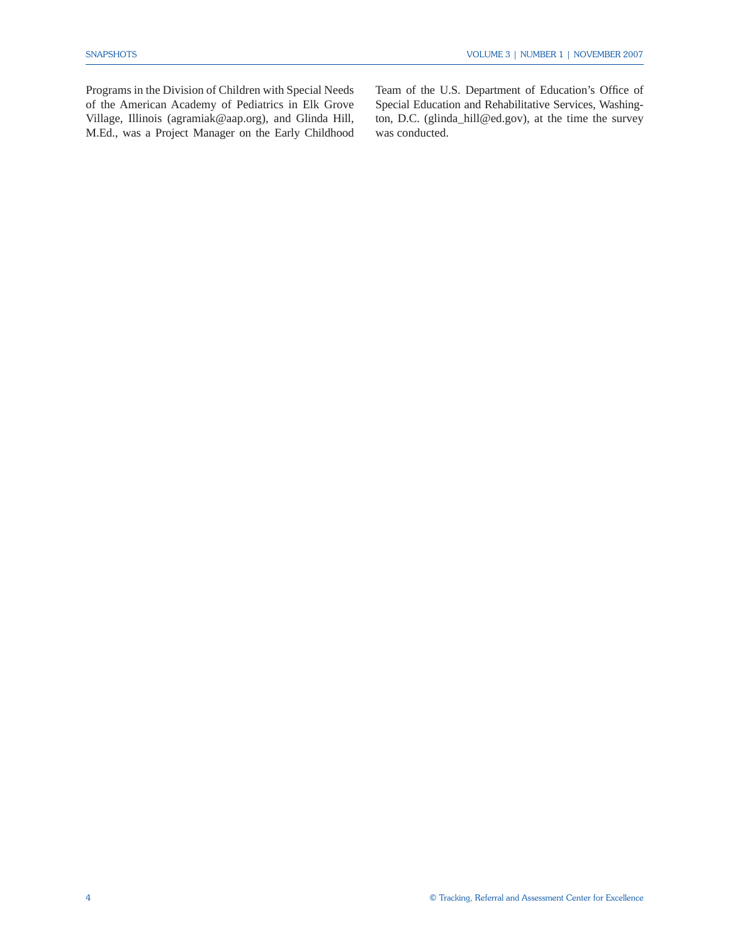Programs in the Division of Children with Special Needs of the American Academy of Pediatrics in Elk Grove Village, Illinois (agramiak@aap.org), and Glinda Hill, M.Ed., was a Project Manager on the Early Childhood Team of the U.S. Department of Education's Office of Special Education and Rehabilitative Services, Washington, D.C. (glinda\_hill@ed.gov), at the time the survey was conducted.